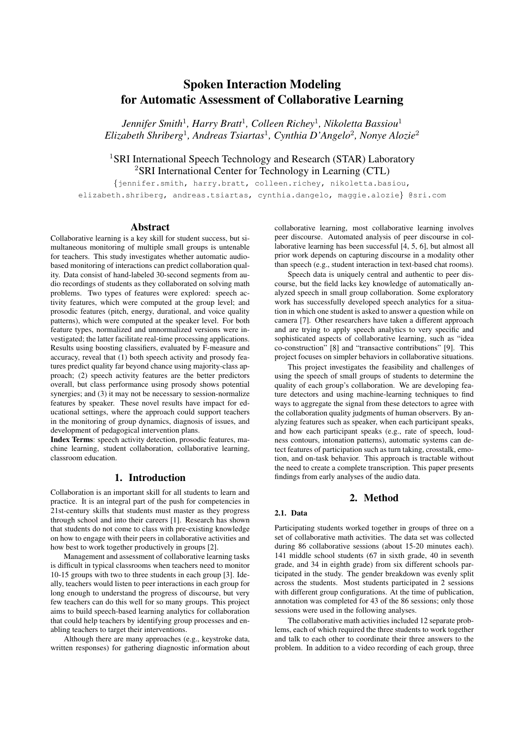# Spoken Interaction Modeling for Automatic Assessment of Collaborative Learning

*Jennifer Smith*<sup>1</sup> *, Harry Bratt*<sup>1</sup> *, Colleen Richey*<sup>1</sup> *, Nikoletta Bassiou*<sup>1</sup> *Elizabeth Shriberg*<sup>1</sup> *, Andreas Tsiartas*<sup>1</sup> *, Cynthia D'Angelo*<sup>2</sup> *, Nonye Alozie*<sup>2</sup>

## <sup>1</sup>SRI International Speech Technology and Research (STAR) Laboratory <sup>2</sup>SRI International Center for Technology in Learning (CTL)

{jennifer.smith, harry.bratt, colleen.richey, nikoletta.basiou, elizabeth.shriberg, andreas.tsiartas, cynthia.dangelo, maggie.alozie} @sri.com

## Abstract

Collaborative learning is a key skill for student success, but simultaneous monitoring of multiple small groups is untenable for teachers. This study investigates whether automatic audiobased monitoring of interactions can predict collaboration quality. Data consist of hand-labeled 30-second segments from audio recordings of students as they collaborated on solving math problems. Two types of features were explored: speech activity features, which were computed at the group level; and prosodic features (pitch, energy, durational, and voice quality patterns), which were computed at the speaker level. For both feature types, normalized and unnormalized versions were investigated; the latter facilitate real-time processing applications. Results using boosting classifiers, evaluated by F-measure and accuracy, reveal that (1) both speech activity and prosody features predict quality far beyond chance using majority-class approach; (2) speech activity features are the better predictors overall, but class performance using prosody shows potential synergies; and (3) it may not be necessary to session-normalize features by speaker. These novel results have impact for educational settings, where the approach could support teachers in the monitoring of group dynamics, diagnosis of issues, and development of pedagogical intervention plans.

Index Terms: speech activity detection, prosodic features, machine learning, student collaboration, collaborative learning, classroom education.

## 1. Introduction

Collaboration is an important skill for all students to learn and practice. It is an integral part of the push for competencies in 21st-century skills that students must master as they progress through school and into their careers [1]. Research has shown that students do not come to class with pre-existing knowledge on how to engage with their peers in collaborative activities and how best to work together productively in groups [2].

Management and assessment of collaborative learning tasks is difficult in typical classrooms when teachers need to monitor 10-15 groups with two to three students in each group [3]. Ideally, teachers would listen to peer interactions in each group for long enough to understand the progress of discourse, but very few teachers can do this well for so many groups. This project aims to build speech-based learning analytics for collaboration that could help teachers by identifying group processes and enabling teachers to target their interventions.

Although there are many approaches (e.g., keystroke data, written responses) for gathering diagnostic information about collaborative learning, most collaborative learning involves peer discourse. Automated analysis of peer discourse in collaborative learning has been successful [4, 5, 6], but almost all prior work depends on capturing discourse in a modality other than speech (e.g., student interaction in text-based chat rooms).

Speech data is uniquely central and authentic to peer discourse, but the field lacks key knowledge of automatically analyzed speech in small group collaboration. Some exploratory work has successfully developed speech analytics for a situation in which one student is asked to answer a question while on camera [7]. Other researchers have taken a different approach and are trying to apply speech analytics to very specific and sophisticated aspects of collaborative learning, such as "idea co-construction" [8] and "transactive contributions" [9]. This project focuses on simpler behaviors in collaborative situations.

This project investigates the feasibility and challenges of using the speech of small groups of students to determine the quality of each group's collaboration. We are developing feature detectors and using machine-learning techniques to find ways to aggregate the signal from these detectors to agree with the collaboration quality judgments of human observers. By analyzing features such as speaker, when each participant speaks, and how each participant speaks (e.g., rate of speech, loudness contours, intonation patterns), automatic systems can detect features of participation such as turn taking, crosstalk, emotion, and on-task behavior. This approach is tractable without the need to create a complete transcription. This paper presents findings from early analyses of the audio data.

## 2. Method

#### 2.1. Data

Participating students worked together in groups of three on a set of collaborative math activities. The data set was collected during 86 collaborative sessions (about 15-20 minutes each). 141 middle school students (67 in sixth grade, 40 in seventh grade, and 34 in eighth grade) from six different schools participated in the study. The gender breakdown was evenly split across the students. Most students participated in 2 sessions with different group configurations. At the time of publication, annotation was completed for 43 of the 86 sessions; only those sessions were used in the following analyses.

The collaborative math activities included 12 separate problems, each of which required the three students to work together and talk to each other to coordinate their three answers to the problem. In addition to a video recording of each group, three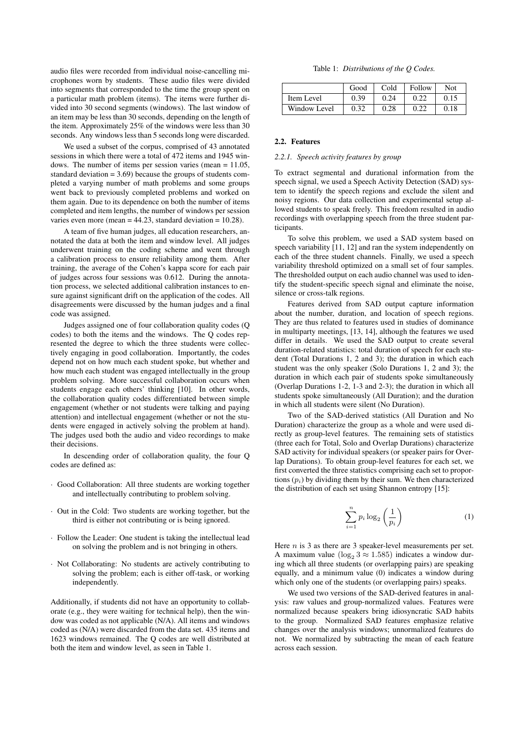audio files were recorded from individual noise-cancelling microphones worn by students. These audio files were divided into segments that corresponded to the time the group spent on a particular math problem (items). The items were further divided into 30 second segments (windows). The last window of an item may be less than 30 seconds, depending on the length of the item. Approximately 25% of the windows were less than 30 seconds. Any windows less than 5 seconds long were discarded.

We used a subset of the corpus, comprised of 43 annotated sessions in which there were a total of 472 items and 1945 windows. The number of items per session varies (mean = 11.05, standard deviation  $= 3.69$ ) because the groups of students completed a varying number of math problems and some groups went back to previously completed problems and worked on them again. Due to its dependence on both the number of items completed and item lengths, the number of windows per session varies even more (mean  $= 44.23$ , standard deviation  $= 10.28$ ).

A team of five human judges, all education researchers, annotated the data at both the item and window level. All judges underwent training on the coding scheme and went through a calibration process to ensure reliability among them. After training, the average of the Cohen's kappa score for each pair of judges across four sessions was 0.612. During the annotation process, we selected additional calibration instances to ensure against significant drift on the application of the codes. All disagreements were discussed by the human judges and a final code was assigned.

Judges assigned one of four collaboration quality codes (Q codes) to both the items and the windows. The Q codes represented the degree to which the three students were collectively engaging in good collaboration. Importantly, the codes depend not on how much each student spoke, but whether and how much each student was engaged intellectually in the group problem solving. More successful collaboration occurs when students engage each others' thinking [10]. In other words, the collaboration quality codes differentiated between simple engagement (whether or not students were talking and paying attention) and intellectual engagement (whether or not the students were engaged in actively solving the problem at hand). The judges used both the audio and video recordings to make their decisions.

In descending order of collaboration quality, the four Q codes are defined as:

- · Good Collaboration: All three students are working together and intellectually contributing to problem solving.
- · Out in the Cold: Two students are working together, but the third is either not contributing or is being ignored.
- · Follow the Leader: One student is taking the intellectual lead on solving the problem and is not bringing in others.
- · Not Collaborating: No students are actively contributing to solving the problem; each is either off-task, or working independently.

Additionally, if students did not have an opportunity to collaborate (e.g., they were waiting for technical help), then the window was coded as not applicable (N/A). All items and windows coded as (N/A) were discarded from the data set. 435 items and 1623 windows remained. The Q codes are well distributed at both the item and window level, as seen in Table 1.

Table 1: *Distributions of the Q Codes.*

|              | Good | Cold | Follow | Not  |
|--------------|------|------|--------|------|
| Item Level   | 0.39 | 0.24 | 0.22   | 0.15 |
| Window Level | 0.32 | 0.28 |        | 0.18 |

## 2.2. Features

#### *2.2.1. Speech activity features by group*

To extract segmental and durational information from the speech signal, we used a Speech Activity Detection (SAD) system to identify the speech regions and exclude the silent and noisy regions. Our data collection and experimental setup allowed students to speak freely. This freedom resulted in audio recordings with overlapping speech from the three student participants.

To solve this problem, we used a SAD system based on speech variability  $[11, 12]$  and ran the system independently on each of the three student channels. Finally, we used a speech variability threshold optimized on a small set of four samples. The thresholded output on each audio channel was used to identify the student-specific speech signal and eliminate the noise, silence or cross-talk regions.

Features derived from SAD output capture information about the number, duration, and location of speech regions. They are thus related to features used in studies of dominance in multiparty meetings, [13, 14], although the features we used differ in details. We used the SAD output to create several duration-related statistics: total duration of speech for each student (Total Durations 1, 2 and 3); the duration in which each student was the only speaker (Solo Durations 1, 2 and 3); the duration in which each pair of students spoke simultaneously (Overlap Durations 1-2, 1-3 and 2-3); the duration in which all students spoke simultaneously (All Duration); and the duration in which all students were silent (No Duration).

Two of the SAD-derived statistics (All Duration and No Duration) characterize the group as a whole and were used directly as group-level features. The remaining sets of statistics (three each for Total, Solo and Overlap Durations) characterize SAD activity for individual speakers (or speaker pairs for Overlap Durations). To obtain group-level features for each set, we first converted the three statistics comprising each set to proportions  $(p_i)$  by dividing them by their sum. We then characterized the distribution of each set using Shannon entropy [15]:

$$
\sum_{i=1}^{n} p_i \log_2\left(\frac{1}{p_i}\right) \tag{1}
$$

Here  $n$  is 3 as there are 3 speaker-level measurements per set. A maximum value ( $log_2 3 \approx 1.585$ ) indicates a window during which all three students (or overlapping pairs) are speaking equally, and a minimum value (0) indicates a window during which only one of the students (or overlapping pairs) speaks.

We used two versions of the SAD-derived features in analysis: raw values and group-normalized values. Features were normalized because speakers bring idiosyncratic SAD habits to the group. Normalized SAD features emphasize relative changes over the analysis windows; unnormalized features do not. We normalized by subtracting the mean of each feature across each session.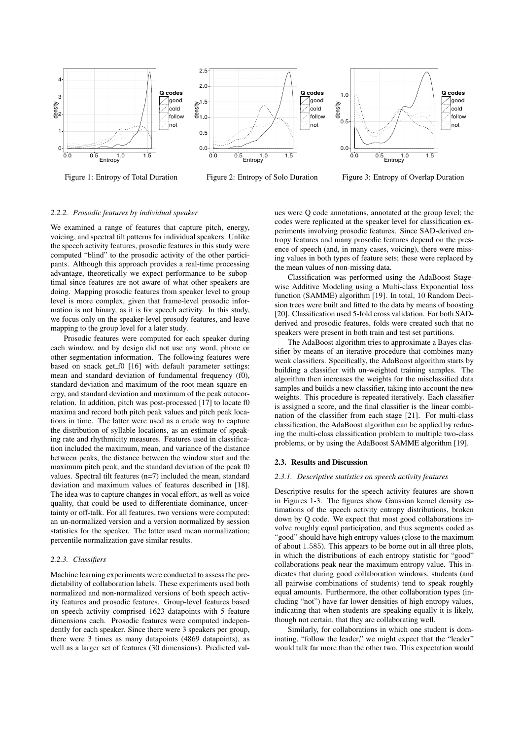

Figure 1: Entropy of Total Duration

Figure 2: Entropy of Solo Duration



Figure 3: Entropy of Overlap Duration

#### *2.2.2. Prosodic features by individual speaker*

We examined a range of features that capture pitch, energy, voicing, and spectral tilt patterns for individual speakers. Unlike the speech activity features, prosodic features in this study were computed "blind" to the prosodic activity of the other participants. Although this approach provides a real-time processing advantage, theoretically we expect performance to be suboptimal since features are not aware of what other speakers are doing. Mapping prosodic features from speaker level to group level is more complex, given that frame-level prosodic information is not binary, as it is for speech activity. In this study, we focus only on the speaker-level prosody features, and leave mapping to the group level for a later study.

Prosodic features were computed for each speaker during each window, and by design did not use any word, phone or other segmentation information. The following features were based on snack get f0 [16] with default parameter settings: mean and standard deviation of fundamental frequency (f0), standard deviation and maximum of the root mean square energy, and standard deviation and maximum of the peak autocorrelation. In addition, pitch was post-processed [17] to locate f0 maxima and record both pitch peak values and pitch peak locations in time. The latter were used as a crude way to capture the distribution of syllable locations, as an estimate of speaking rate and rhythmicity measures. Features used in classification included the maximum, mean, and variance of the distance between peaks, the distance between the window start and the maximum pitch peak, and the standard deviation of the peak f0 values. Spectral tilt features (n=7) included the mean, standard deviation and maximum values of features described in [18]. The idea was to capture changes in vocal effort, as well as voice quality, that could be used to differentiate dominance, uncertainty or off-talk. For all features, two versions were computed: an un-normalized version and a version normalized by session statistics for the speaker. The latter used mean normalization; percentile normalization gave similar results.

#### *2.2.3. Classifiers*

Machine learning experiments were conducted to assess the predictability of collaboration labels. These experiments used both normalized and non-normalized versions of both speech activity features and prosodic features. Group-level features based on speech activity comprised 1623 datapoints with 5 feature dimensions each. Prosodic features were computed independently for each speaker. Since there were 3 speakers per group, there were 3 times as many datapoints (4869 datapoints), as well as a larger set of features (30 dimensions). Predicted val-

ues were Q code annotations, annotated at the group level; the codes were replicated at the speaker level for classification experiments involving prosodic features. Since SAD-derived entropy features and many prosodic features depend on the presence of speech (and, in many cases, voicing), there were missing values in both types of feature sets; these were replaced by the mean values of non-missing data.

Classification was performed using the AdaBoost Stagewise Additive Modeling using a Multi-class Exponential loss function (SAMME) algorithm [19]. In total, 10 Random Decision trees were built and fitted to the data by means of boosting [20]. Classification used 5-fold cross validation. For both SADderived and prosodic features, folds were created such that no speakers were present in both train and test set partitions.

The AdaBoost algorithm tries to approximate a Bayes classifier by means of an iterative procedure that combines many weak classifiers. Specifically, the AdaBoost algorithm starts by building a classifier with un-weighted training samples. The algorithm then increases the weights for the misclassified data samples and builds a new classifier, taking into account the new weights. This procedure is repeated iteratively. Each classifier is assigned a score, and the final classifier is the linear combination of the classifier from each stage [21]. For multi-class classification, the AdaBoost algorithm can be applied by reducing the multi-class classification problem to multiple two-class problems, or by using the AdaBoost SAMME algorithm [19].

#### 2.3. Results and Discussion

#### *2.3.1. Descriptive statistics on speech activity features*

Descriptive results for the speech activity features are shown in Figures 1-3. The figures show Gaussian kernel density estimations of the speech activity entropy distributions, broken down by Q code. We expect that most good collaborations involve roughly equal participation, and thus segments coded as "good" should have high entropy values (close to the maximum of about 1.585). This appears to be borne out in all three plots, in which the distributions of each entropy statistic for "good" collaborations peak near the maximum entropy value. This indicates that during good collaboration windows, students (and all pairwise combinations of students) tend to speak roughly equal amounts. Furthermore, the other collaboration types (including "not") have far lower densities of high entropy values, indicating that when students are speaking equally it is likely, though not certain, that they are collaborating well.

Similarly, for collaborations in which one student is dominating, "follow the leader," we might expect that the "leader" would talk far more than the other two. This expectation would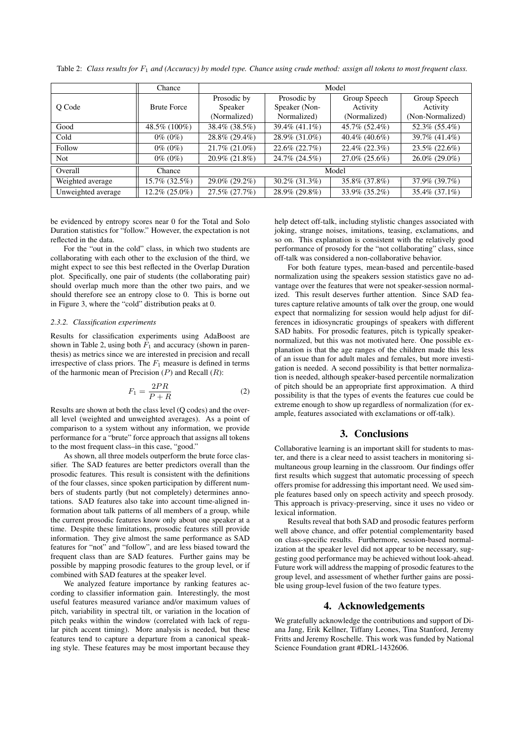|                    | Chance             | Model                                  |                                             |                                          |                                              |  |
|--------------------|--------------------|----------------------------------------|---------------------------------------------|------------------------------------------|----------------------------------------------|--|
| O Code             | <b>Brute Force</b> | Prosodic by<br>Speaker<br>(Normalized) | Prosodic by<br>Speaker (Non-<br>Normalized) | Group Speech<br>Activity<br>(Normalized) | Group Speech<br>Activity<br>(Non-Normalized) |  |
| Good               | 48.5% (100%)       | 38.4\% (38.5\%)                        | $39.4\%$ (41.1\%)                           | 45.7% (52.4%)                            | 52.3% (55.4%)                                |  |
| Cold               | $0\%$ (0\%)        | 28.8% (29.4%)                          | 28.9% (31.0%)                               | 40.4% $(40.6\%)$                         | 39.7% (41.4%)                                |  |
| Follow             | $0\%$ (0\%)        | $21.7\%$ (21.0%)                       | $22.6\% (22.7\%)$                           | $22.4\%$ (22.3%)                         | $23.5\%$ (22.6%)                             |  |
| <b>Not</b>         | $0\%$ (0\%)        | $20.9\%$ (21.8%)                       | 24.7% (24.5%)                               | $27.0\%$ (25.6%)                         | $26.0\%$ (29.0%)                             |  |
| Overall            | Chance             | Model                                  |                                             |                                          |                                              |  |
| Weighted average   | 15.7% (32.5%)      | $29.0\%$ (29.2\%)                      | $30.2\%$ (31.3%)                            | 35.8% (37.8%)                            | 37.9% (39.7%)                                |  |
| Unweighted average | 12.2% (25.0%)      | 27.5% (27.7%)                          | 28.9% (29.8%)                               | 33.9% (35.2%)                            | 35.4% (37.1%)                                |  |

Table 2: *Class results for*  $F_1$  *and (Accuracy) by model type. Chance using crude method: assign all tokens to most frequent class.* 

be evidenced by entropy scores near 0 for the Total and Solo Duration statistics for "follow." However, the expectation is not reflected in the data.

For the "out in the cold" class, in which two students are collaborating with each other to the exclusion of the third, we might expect to see this best reflected in the Overlap Duration plot. Specifically, one pair of students (the collaborating pair) should overlap much more than the other two pairs, and we should therefore see an entropy close to 0. This is borne out in Figure 3, where the "cold" distribution peaks at 0.

#### *2.3.2. Classification experiments*

Results for classification experiments using AdaBoost are shown in Table 2, using both  $F_1$  and accuracy (shown in parenthesis) as metrics since we are interested in precision and recall irrespective of class priors. The  $F_1$  measure is defined in terms of the harmonic mean of Precision  $(P)$  and Recall  $(R)$ :

$$
F_1 = \frac{2PR}{P + R} \tag{2}
$$

Results are shown at both the class level (Q codes) and the overall level (weighted and unweighted averages). As a point of comparison to a system without any information, we provide performance for a "brute" force approach that assigns all tokens to the most frequent class–in this case, "good."

As shown, all three models outperform the brute force classifier. The SAD features are better predictors overall than the prosodic features. This result is consistent with the definitions of the four classes, since spoken participation by different numbers of students partly (but not completely) determines annotations. SAD features also take into account time-aligned information about talk patterns of all members of a group, while the current prosodic features know only about one speaker at a time. Despite these limitations, prosodic features still provide information. They give almost the same performance as SAD features for "not" and "follow", and are less biased toward the frequent class than are SAD features. Further gains may be possible by mapping prosodic features to the group level, or if combined with SAD features at the speaker level.

We analyzed feature importance by ranking features according to classifier information gain. Interestingly, the most useful features measured variance and/or maximum values of pitch, variability in spectral tilt, or variation in the location of pitch peaks within the window (correlated with lack of regular pitch accent timing). More analysis is needed, but these features tend to capture a departure from a canonical speaking style. These features may be most important because they

help detect off-talk, including stylistic changes associated with joking, strange noises, imitations, teasing, exclamations, and so on. This explanation is consistent with the relatively good performance of prosody for the "not collaborating" class, since off-talk was considered a non-collaborative behavior.

For both feature types, mean-based and percentile-based normalization using the speakers session statistics gave no advantage over the features that were not speaker-session normalized. This result deserves further attention. Since SAD features capture relative amounts of talk over the group, one would expect that normalizing for session would help adjust for differences in idiosyncratic groupings of speakers with different SAD habits. For prosodic features, pitch is typically speakernormalized, but this was not motivated here. One possible explanation is that the age ranges of the children made this less of an issue than for adult males and females, but more investigation is needed. A second possibility is that better normalization is needed, although speaker-based percentile normalization of pitch should be an appropriate first approximation. A third possibility is that the types of events the features cue could be extreme enough to show up regardless of normalization (for example, features associated with exclamations or off-talk).

## 3. Conclusions

Collaborative learning is an important skill for students to master, and there is a clear need to assist teachers in monitoring simultaneous group learning in the classroom. Our findings offer first results which suggest that automatic processing of speech offers promise for addressing this important need. We used simple features based only on speech activity and speech prosody. This approach is privacy-preserving, since it uses no video or lexical information.

Results reveal that both SAD and prosodic features perform well above chance, and offer potential complementarity based on class-specific results. Furthermore, session-based normalization at the speaker level did not appear to be necessary, suggesting good performance may be achieved without look-ahead. Future work will address the mapping of prosodic features to the group level, and assessment of whether further gains are possible using group-level fusion of the two feature types.

## 4. Acknowledgements

We gratefully acknowledge the contributions and support of Diana Jang, Erik Kellner, Tiffany Leones, Tina Stanford, Jeremy Fritts and Jeremy Roschelle. This work was funded by National Science Foundation grant #DRL-1432606.